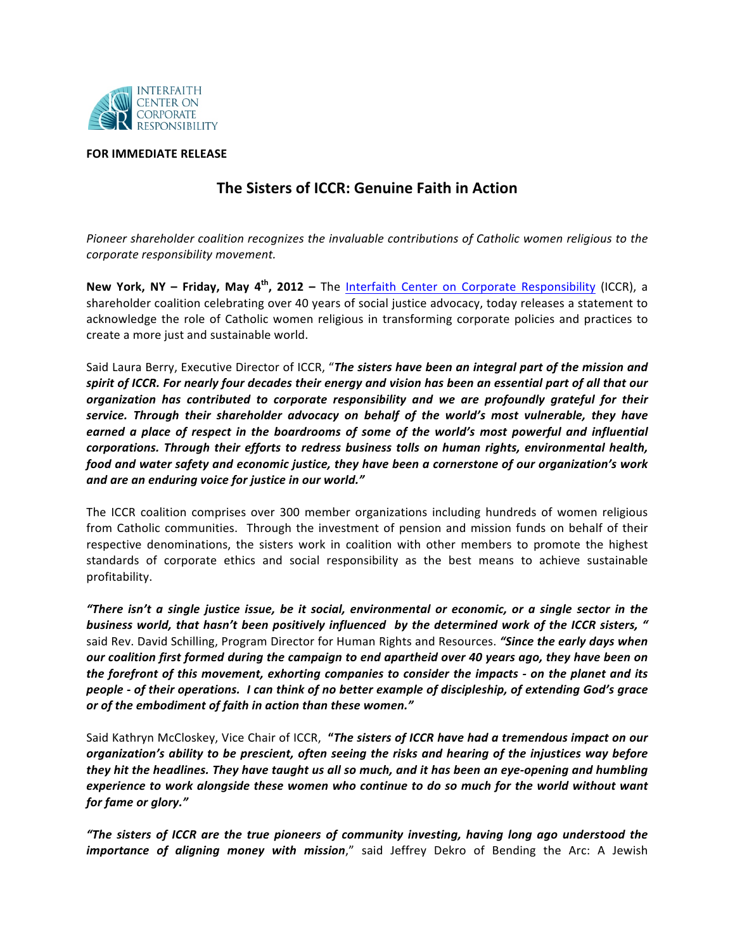

## **FOR IMMEDIATE RELEASE**

## **The Sisters of ICCR: Genuine Faith in Action**

Pioneer shareholder coalition recognizes the invaluable contributions of Catholic women religious to the *corporate'responsibility'movement.*

**New York, NY – Friday, May 4<sup>th</sup>, 2012 –** The Interfaith Center on Corporate Responsibility (ICCR), a shareholder coalition celebrating over 40 years of social justice advocacy, today releases a statement to acknowledge the role of Catholic women religious in transforming corporate policies and practices to create a more just and sustainable world.

Said Laura Berry, Executive Director of ICCR, "The sisters have been an integral part of the mission and spirit of ICCR. For nearly four decades their energy and vision has been an essential part of all that our *organization! has! contributed! to! corporate! responsibility and! we! are! profoundly! grateful! for! their! service. Through their shareholder advocacy on behalf of the world's most vulnerable, they have earned a place of respect in the boardrooms of some of the world's most powerful and influential corporations. Through their efforts to redress business tolls on human rights, environmental health,* food and water safety and economic justice, they have been a cornerstone of our organization's work and are an enduring voice for justice in our world."

The ICCR coalition comprises over 300 member organizations including hundreds of women religious from Catholic communities. Through the investment of pension and mission funds on behalf of their respective denominations, the sisters work in coalition with other members to promote the highest standards of corporate ethics and social responsibility as the best means to achieve sustainable profitability.

*"There isn't a single justice issue, be it social, environmental or economic, or a single sector in the business world, that hasn't been positively influenced by the determined work of the ICCR sisters, "* said Rev. David Schilling, Program Director for Human Rights and Resources. "Since the early days when *our coalition first formed during the campaign to end apartheid over 40 years ago, they have been on the forefront of this movement, exhorting companies to consider the <i>impacts* - on the planet and its *people - of their operations. I can think of no better example of discipleship, of extending God's grace or of the embodiment of faith in action than these women."* 

Said Kathryn McCloskey, Vice Chair of ICCR, "*The sisters of ICCR have had a tremendous impact on our organization's ability to be prescient, often seeing the risks and hearing of the injustices way before they hit the headlines. They have taught us all so much, and it has been an eye-opening and humbling experience to work alongside these women who continue to do so much for the world without want for fame or glory."* 

*"The! sisters! of! ICCR! are! the! true! pioneers! of! community! investing, having! long! ago! understood! the! importance of aligning money with mission,"* said Jeffrey Dekro of Bending the Arc: A Jewish